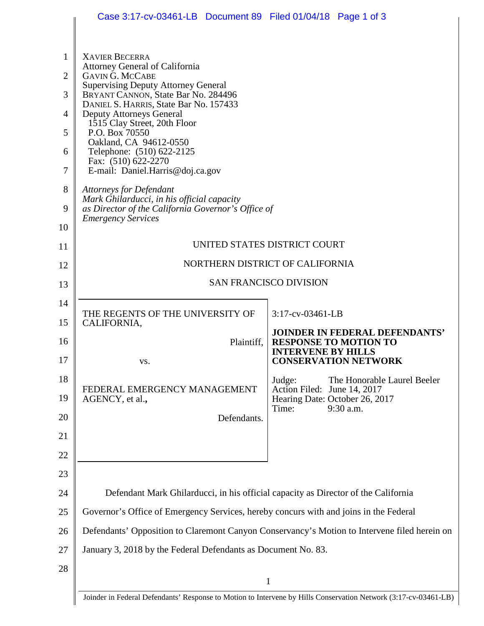|                | Case 3:17-cv-03461-LB  Document 89  Filed 01/04/18  Page 1 of 3                                                      |                                                                                              |  |  |  |
|----------------|----------------------------------------------------------------------------------------------------------------------|----------------------------------------------------------------------------------------------|--|--|--|
|                |                                                                                                                      |                                                                                              |  |  |  |
| 1              | <b>XAVIER BECERRA</b><br>Attorney General of California                                                              |                                                                                              |  |  |  |
| $\overline{2}$ | <b>GAVIN G. MCCABE</b><br><b>Supervising Deputy Attorney General</b>                                                 |                                                                                              |  |  |  |
| 3              | BRYANT CANNON, State Bar No. 284496<br>DANIEL S. HARRIS, State Bar No. 157433                                        |                                                                                              |  |  |  |
| 4              | Deputy Attorneys General<br>1515 Clay Street, 20th Floor                                                             |                                                                                              |  |  |  |
| 5              | P.O. Box 70550<br>Oakland, CA 94612-0550                                                                             |                                                                                              |  |  |  |
| 6              | Telephone: (510) 622-2125<br>Fax: (510) 622-2270                                                                     |                                                                                              |  |  |  |
| $\tau$         | E-mail: Daniel.Harris@doj.ca.gov                                                                                     |                                                                                              |  |  |  |
| 8              | <b>Attorneys for Defendant</b><br>Mark Ghilarducci, in his official capacity                                         |                                                                                              |  |  |  |
| 9              | as Director of the California Governor's Office of<br><b>Emergency Services</b>                                      |                                                                                              |  |  |  |
| 10             |                                                                                                                      |                                                                                              |  |  |  |
| 11             | UNITED STATES DISTRICT COURT                                                                                         |                                                                                              |  |  |  |
| 12             | NORTHERN DISTRICT OF CALIFORNIA                                                                                      |                                                                                              |  |  |  |
| 13             | <b>SAN FRANCISCO DIVISION</b>                                                                                        |                                                                                              |  |  |  |
| 14             | THE REGENTS OF THE UNIVERSITY OF                                                                                     | 3:17-cv-03461-LB                                                                             |  |  |  |
| 15             | CALIFORNIA,                                                                                                          | <b>JOINDER IN FEDERAL DEFENDANTS'</b>                                                        |  |  |  |
| 16             | Plaintiff,                                                                                                           | <b>RESPONSE TO MOTION TO</b><br><b>INTERVENE BY HILLS</b>                                    |  |  |  |
| 17             | VS.                                                                                                                  | <b>CONSERVATION NETWORK</b>                                                                  |  |  |  |
| 18<br>19       | FEDERAL EMERGENCY MANAGEMENT                                                                                         | Judge:<br>The Honorable Laurel Beeler<br>Action Filed: June 14, 2017                         |  |  |  |
| 20             | AGENCY, et al.,<br>Defendants.                                                                                       | Hearing Date: October 26, 2017<br>9:30 a.m.<br>Time:                                         |  |  |  |
| 21             |                                                                                                                      |                                                                                              |  |  |  |
| 22             |                                                                                                                      |                                                                                              |  |  |  |
| 23             |                                                                                                                      |                                                                                              |  |  |  |
| 24             | Defendant Mark Ghilarducci, in his official capacity as Director of the California                                   |                                                                                              |  |  |  |
| 25             | Governor's Office of Emergency Services, hereby concurs with and joins in the Federal                                |                                                                                              |  |  |  |
| 26             |                                                                                                                      | Defendants' Opposition to Claremont Canyon Conservancy's Motion to Intervene filed herein on |  |  |  |
| 27             | January 3, 2018 by the Federal Defendants as Document No. 83.                                                        |                                                                                              |  |  |  |
| 28             |                                                                                                                      |                                                                                              |  |  |  |
|                | 1<br>Joinder in Federal Defendants' Response to Motion to Intervene by Hills Conservation Network (3:17-cv-03461-LB) |                                                                                              |  |  |  |
|                |                                                                                                                      |                                                                                              |  |  |  |

Joinder in Federal Defendants' Response to Motion to Intervene by Hills Conservation Network (3:17-cv-03461-LB)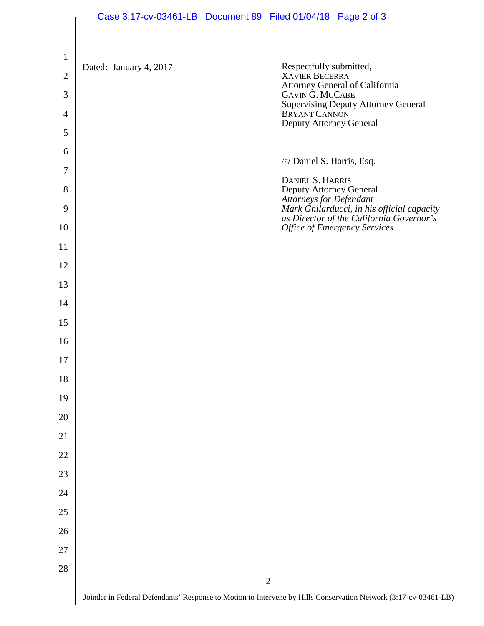|                     | Case 3:17-cv-03461-LB  Document 89  Filed 01/04/18  Page 2 of 3                                                 |  |                                             |                                                                                                                        |
|---------------------|-----------------------------------------------------------------------------------------------------------------|--|---------------------------------------------|------------------------------------------------------------------------------------------------------------------------|
| $\mathbf{1}$        |                                                                                                                 |  |                                             |                                                                                                                        |
| $\overline{2}$      | Dated: January 4, 2017                                                                                          |  | Respectfully submitted,<br>XAVIER BECERRA   | Attorney General of California                                                                                         |
| $\mathfrak{Z}$      |                                                                                                                 |  | GAVIN G. MCCABE                             |                                                                                                                        |
| $\overline{4}$      |                                                                                                                 |  | Deputy Attorney General                     | Supervising Deputy Attorney General<br>BRYANT CANNON                                                                   |
| 5                   |                                                                                                                 |  |                                             |                                                                                                                        |
| 6                   |                                                                                                                 |  | /s/ Daniel S. Harris, Esq.                  |                                                                                                                        |
| $\overline{7}$<br>8 |                                                                                                                 |  | DANIEL S. HARRIS<br>Deputy Attorney General |                                                                                                                        |
| 9                   |                                                                                                                 |  | Attorneys for Defendant                     |                                                                                                                        |
| 10                  |                                                                                                                 |  |                                             | Mark Ghilarducci, in his official capacity<br>as Director of the California Governor's<br>Office of Emergency Services |
| 11                  |                                                                                                                 |  |                                             |                                                                                                                        |
| 12                  |                                                                                                                 |  |                                             |                                                                                                                        |
| 13                  |                                                                                                                 |  |                                             |                                                                                                                        |
| 14                  |                                                                                                                 |  |                                             |                                                                                                                        |
| 15                  |                                                                                                                 |  |                                             |                                                                                                                        |
| 16                  |                                                                                                                 |  |                                             |                                                                                                                        |
| $17\,$              |                                                                                                                 |  |                                             |                                                                                                                        |
| 18                  |                                                                                                                 |  |                                             |                                                                                                                        |
| 19                  |                                                                                                                 |  |                                             |                                                                                                                        |
| 20                  |                                                                                                                 |  |                                             |                                                                                                                        |
| 21                  |                                                                                                                 |  |                                             |                                                                                                                        |
| 22                  |                                                                                                                 |  |                                             |                                                                                                                        |
| 23                  |                                                                                                                 |  |                                             |                                                                                                                        |
| 24                  |                                                                                                                 |  |                                             |                                                                                                                        |
| $25\,$              |                                                                                                                 |  |                                             |                                                                                                                        |
| 26                  |                                                                                                                 |  |                                             |                                                                                                                        |
| 27                  |                                                                                                                 |  |                                             |                                                                                                                        |
| 28                  |                                                                                                                 |  | $\overline{2}$                              |                                                                                                                        |
|                     | Joinder in Federal Defendants' Response to Motion to Intervene by Hills Conservation Network (3:17-cv-03461-LB) |  |                                             |                                                                                                                        |